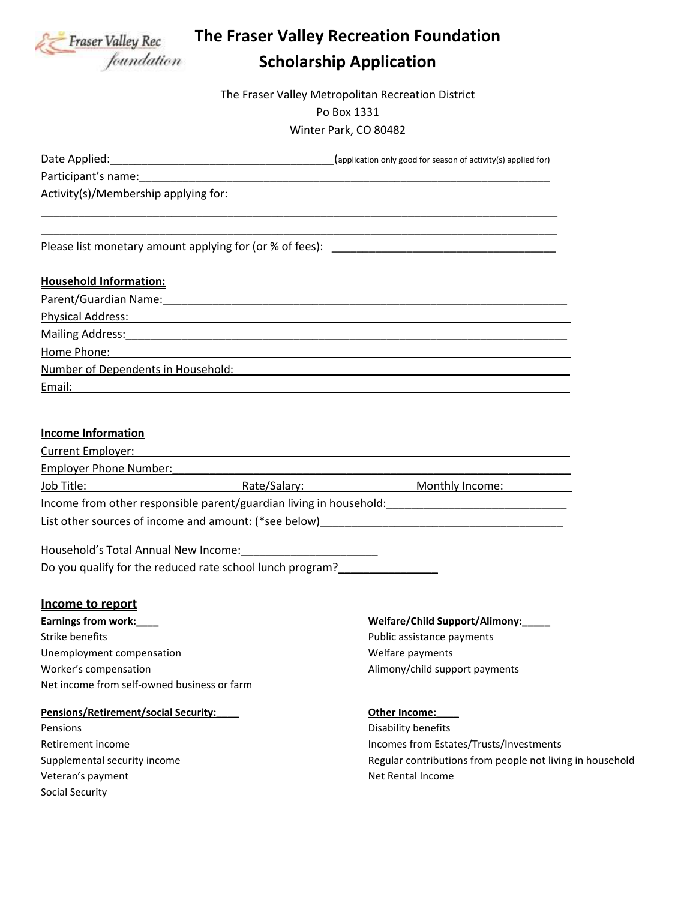

# **The Fraser Valley Recreation Foundation Scholarship Application**

The Fraser Valley Metropolitan Recreation District Po Box 1331 Winter Park, CO 80482

Date Applied:\_\_\_\_\_\_\_\_\_\_\_\_\_\_\_\_\_\_\_\_\_\_\_\_\_\_\_\_\_\_\_\_\_\_\_\_(application only good for season of activity(s) applied for)

Participant's name:\_\_\_\_\_\_\_\_\_\_\_\_\_\_\_\_\_\_\_\_\_\_\_\_\_\_\_\_\_\_\_\_\_\_\_\_\_\_\_\_\_\_\_\_\_\_\_\_\_\_\_\_\_\_\_\_\_\_\_\_\_\_\_\_\_\_

Activity(s)/Membership applying for:

Please list monetary amount applying for (or % of fees): \_\_\_\_\_\_\_\_\_\_\_\_\_\_\_\_\_\_\_\_\_\_\_

## **Household Information:**

| Parent/Guardian Name:              |
|------------------------------------|
| <b>Physical Address:</b>           |
| Mailing Address:                   |
| Home Phone:                        |
| Number of Dependents in Household: |
| Email:                             |

\_\_\_\_\_\_\_\_\_\_\_\_\_\_\_\_\_\_\_\_\_\_\_\_\_\_\_\_\_\_\_\_\_\_\_\_\_\_\_\_\_\_\_\_\_\_\_\_\_\_\_\_\_\_\_\_\_\_\_\_\_\_\_\_\_\_\_\_\_\_\_\_\_\_\_\_\_\_\_\_\_\_\_ \_\_\_\_\_\_\_\_\_\_\_\_\_\_\_\_\_\_\_\_\_\_\_\_\_\_\_\_\_\_\_\_\_\_\_\_\_\_\_\_\_\_\_\_\_\_\_\_\_\_\_\_\_\_\_\_\_\_\_\_\_\_\_\_\_\_\_\_\_\_\_\_\_\_\_\_\_\_\_\_\_\_\_

## **Income Information**

| <b>Current Employer:</b>                              |                                                                    |                 |
|-------------------------------------------------------|--------------------------------------------------------------------|-----------------|
| <b>Employer Phone Number:</b>                         |                                                                    |                 |
| Job Title:                                            | Rate/Salary:                                                       | Monthly Income: |
|                                                       | Income from other responsible parent/guardian living in household: |                 |
| List other sources of income and amount: (*see below) |                                                                    |                 |
| Household's Total Annual New Income:                  |                                                                    |                 |
|                                                       | Do you qualify for the reduced rate school lunch program?          |                 |

#### **Income to report**

**Earnings from work:\_\_\_\_ Welfare/Child Support/Alimony:\_\_\_\_\_** Strike benefits **Public assistance payments** Public assistance payments Unemployment compensation example of the Unemployments of the Unemployments Worker's compensation and all the Alimony/child support payments Net income from self-owned business or farm

#### **Pensions/Retirement/social Security: CHE 2018 Other Income:**

Pensions **Disability benefits** Veteran's payment Net Rental Income Social Security

Retirement income **Incomes from Estates/Trusts/Investments Incomes from Estates/Trusts/Investments** Supplemental security income Theorem 2003 Supplemental security income Regular contributions from people not living in household